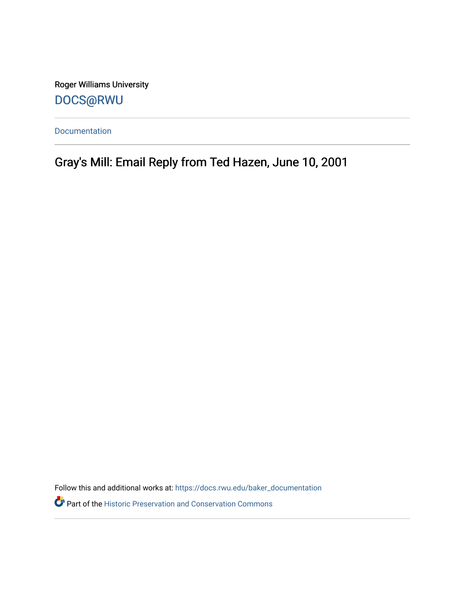Roger Williams University [DOCS@RWU](https://docs.rwu.edu/)

[Documentation](https://docs.rwu.edu/baker_documentation) 

Gray's Mill: Email Reply from Ted Hazen, June 10, 2001

Follow this and additional works at: [https://docs.rwu.edu/baker\\_documentation](https://docs.rwu.edu/baker_documentation?utm_source=docs.rwu.edu%2Fbaker_documentation%2F58&utm_medium=PDF&utm_campaign=PDFCoverPages) 

Part of the [Historic Preservation and Conservation Commons](http://network.bepress.com/hgg/discipline/781?utm_source=docs.rwu.edu%2Fbaker_documentation%2F58&utm_medium=PDF&utm_campaign=PDFCoverPages)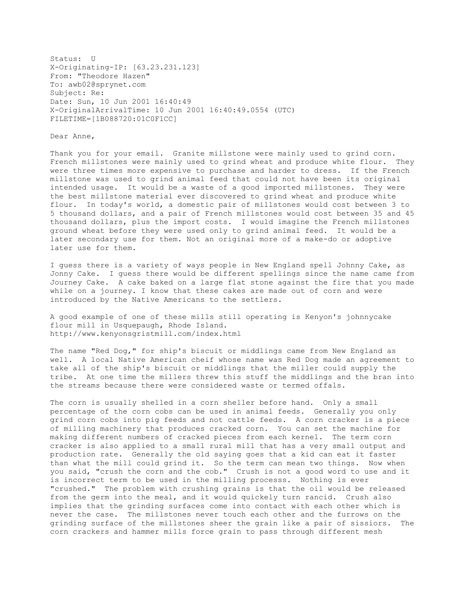Status: U X-Originating-IP: [63.23.231.123] From: "Theodore Hazen" To: awb02@sprynet.com Subject: Re: Date: Sun, 10 Jun 2001 16:40:49 X-OriginalArrivalTime: 10 Jun 2001 16:40:49.0554 (UTC) FILETIME=[1B088720:01C0F1CC]

Dear Anne,

Thank you for your email. Granite millstone were mainly used to grind corn. French millstones were mainly used to grind wheat and produce white flour. They were three times more expensive to purchase and harder to dress. If the French millstone was used to grind animal feed that could not have been its original intended usage. It would be a waste of a good imported millstones. They were the best millstone material ever discovered to grind wheat and produce white flour. In today's world, a domestic pair of millstones would cost between 3 to 5 thousand dollars, and a pair of French millstones would cost between 35 and 45 thousand dollars, plus the import costs. I would imagine the French millstones ground wheat before they were used only to grind animal feed. It would be a later secondary use for them. Not an original more of a make-do or adoptive later use for them.

I guess there is a variety of ways people in New England spell Johnny Cake, as Jonny Cake. I guess there would be different spellings since the name came from Journey Cake. A cake baked on a large flat stone against the fire that you made while on a journey. I know that these cakes are made out of corn and were introduced by the Native Americans to the settlers.

A good example of one of these mills still operating is Kenyon's johnnycake flour mill in Usquepaugh, Rhode Island. http://www.kenyonsgristmill.com/index.html

The name "Red Dog," for ship's biscuit or middlings came from New England as well. A local Native American cheif whose name was Red Dog made an agreement to take all of the ship's biscuit or middlings that the miller could supply the tribe. At one time the millers threw this stuff the middlings and the bran into the streams because there were considered waste or termed offals.

The corn is usually shelled in a corn sheller before hand. Only a small percentage of the corn cobs can be used in animal feeds. Generally you only grind corn cobs into pig feeds and not cattle feeds. A corn cracker is a piece of milling machinery that produces cracked corn. You can set the machine for making different numbers of cracked pieces from each kernel. The term corn cracker is also applied to a small rural mill that has a very small output and production rate. Generally the old saying goes that a kid can eat it faster than what the mill could grind it. So the term can mean two things. Now when you said, "crush the corn and the cob." Crush is not a good word to use and it is incorrect term to be used in the milling processs. Nothing is ever "crushed." The problem with crushing grains is that the oil would be released from the germ into the meal, and it would quickely turn rancid. Crush also implies that the grinding surfaces come into contact with each other which is never the case. The millstones never touch each other and the furrows on the grinding surface of the millstones sheer the grain like a pair of sissiors. The corn crackers and hammer mills force grain to pass through different mesh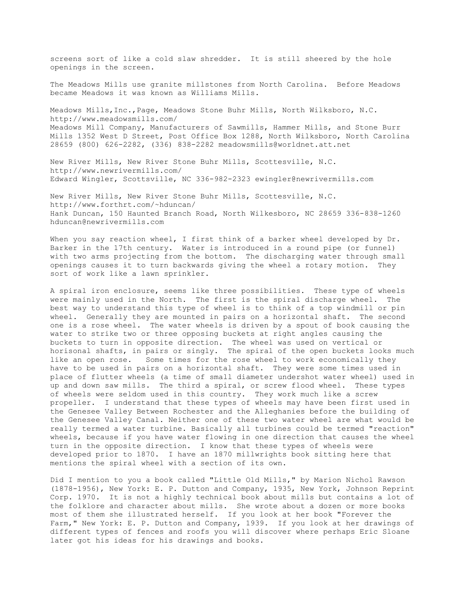screens sort of like a cold slaw shredder. It is still sheered by the hole openings in the screen.

The Meadows Mills use granite millstones from North Carolina. Before Meadows became Meadows it was known as Williams Mills.

Meadows Mills,Inc.,Page, Meadows Stone Buhr Mills, North Wilksboro, N.C. http://www.meadowsmills.com/ Meadows Mill Company, Manufacturers of Sawmills, Hammer Mills, and Stone Burr Mills 1352 West D Street, Post Office Box 1288, North Wilksboro, North Carolina 28659 (800) 626-2282, (336) 838-2282 meadowsmills@worldnet.att.net

New River Mills, New River Stone Buhr Mills, Scottesville, N.C. http://www.newrivermills.com/ Edward Wingler, Scottsville, NC 336-982-2323 ewingler@newrivermills.com

New River Mills, New River Stone Buhr Mills, Scottesville, N.C. http://www.forthrt.com/~hduncan/ Hank Duncan, 150 Haunted Branch Road, North Wilkesboro, NC 28659 336-838-1260 hduncan@newrivermills.com

When you say reaction wheel, I first think of a barker wheel developed by Dr. Barker in the 17th century. Water is introduced in a round pipe (or funnel) with two arms projecting from the bottom. The discharging water through small openings causes it to turn backwards giving the wheel a rotary motion. They sort of work like a lawn sprinkler.

A spiral iron enclosure, seems like three possibilities. These type of wheels were mainly used in the North. The first is the spiral discharge wheel. The best way to understand this type of wheel is to think of a top windmill or pin wheel. Generally they are mounted in pairs on a horizontal shaft. The second one is a rose wheel. The water wheels is driven by a spout of book causing the water to strike two or three opposing buckets at right angles causing the buckets to turn in opposite direction. The wheel was used on vertical or horisonal shafts, in pairs or singly. The spiral of the open buckets looks much like an open rose. Some times for the rose wheel to work economically they have to be used in pairs on a horizontal shaft. They were some times used in place of flutter wheels (a time of small diameter undershot water wheel) used in up and down saw mills. The third a spiral, or screw flood wheel. These types of wheels were seldom used in this country. They work much like a screw propeller. I understand that these types of wheels may have been first used in the Genesee Valley Between Rochester and the Alleghanies before the building of the Genesee Valley Canal. Neither one of these two water wheel are what would be really termed a water turbine. Basically all turbines could be termed "reaction" wheels, because if you have water flowing in one direction that causes the wheel turn in the opposite direction. I know that these types of wheels were developed prior to 1870. I have an 1870 millwrights book sitting here that mentions the spiral wheel with a section of its own.

Did I mention to you a book called "Little Old Mills," by Marion Nichol Rawson (1878-1956), New York: E. P. Dutton and Company, 1935, New York, Johnson Reprint Corp. 1970. It is not a highly technical book about mills but contains a lot of the folklore and character about mills. She wrote about a dozen or more books most of them she illustrated herself. If you look at her book "Forever the Farm," New York: E. P. Dutton and Company, 1939. If you look at her drawings of different types of fences and roofs you will discover where perhaps Eric Sloane later got his ideas for his drawings and books.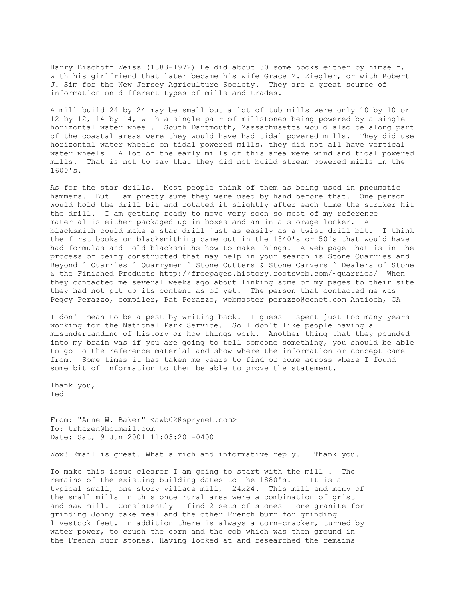Harry Bischoff Weiss (1883-1972) He did about 30 some books either by himself, with his girlfriend that later became his wife Grace M. Ziegler, or with Robert J. Sim for the New Jersey Agriculture Society. They are a great source of information on different types of mills and trades.

A mill build 24 by 24 may be small but a lot of tub mills were only 10 by 10 or 12 by 12, 14 by 14, with a single pair of millstones being powered by a single horizontal water wheel. South Dartmouth, Massachusetts would also be along part of the coastal areas were they would have had tidal powered mills. They did use horizontal water wheels on tidal powered mills, they did not all have vertical water wheels. A lot of the early mills of this area were wind and tidal powered mills. That is not to say that they did not build stream powered mills in the 1600's.

As for the star drills. Most people think of them as being used in pneumatic hammers. But I am pretty sure they were used by hand before that. One person would hold the drill bit and rotated it slightly after each time the striker hit the drill. I am getting ready to move very soon so most of my reference material is either packaged up in boxes and an in a storage locker. A blacksmith could make a star drill just as easily as a twist drill bit. I think the first books on blacksmithing came out in the 1840's or 50's that would have had formulas and told blacksmiths how to make things. A web page that is in the process of being constructed that may help in your search is Stone Quarries and Beyond ˆ Quarries ˆ Quarrymen ˆ Stone Cutters & Stone Carvers ˆ Dealers of Stone & the Finished Products http://freepages.history.rootsweb.com/~quarries/ When they contacted me several weeks ago about linking some of my pages to their site they had not put up its content as of yet. The person that contacted me was Peggy Perazzo, compiler, Pat Perazzo, webmaster perazzo@ccnet.com Antioch, CA

I don't mean to be a pest by writing back. I guess I spent just too many years working for the National Park Service. So I don't like people having a misundertanding of history or how things work. Another thing that they pounded into my brain was if you are going to tell someone something, you should be able to go to the reference material and show where the information or concept came from. Some times it has taken me years to find or come across where I found some bit of information to then be able to prove the statement.

Thank you, Ted

From: "Anne W. Baker" <awb02@sprynet.com> To: trhazen@hotmail.com Date: Sat, 9 Jun 2001 11:03:20 -0400

Wow! Email is great. What a rich and informative reply. Thank you.

To make this issue clearer I am going to start with the mill . The remains of the existing building dates to the 1880's. It is a typical small, one story village mill, 24x24. This mill and many of the small mills in this once rural area were a combination of grist and saw mill. Consistently I find 2 sets of stones - one granite for grinding Jonny cake meal and the other French burr for grinding livestock feet. In addition there is always a corn-cracker, turned by water power, to crush the corn and the cob which was then ground in the French burr stones. Having looked at and researched the remains